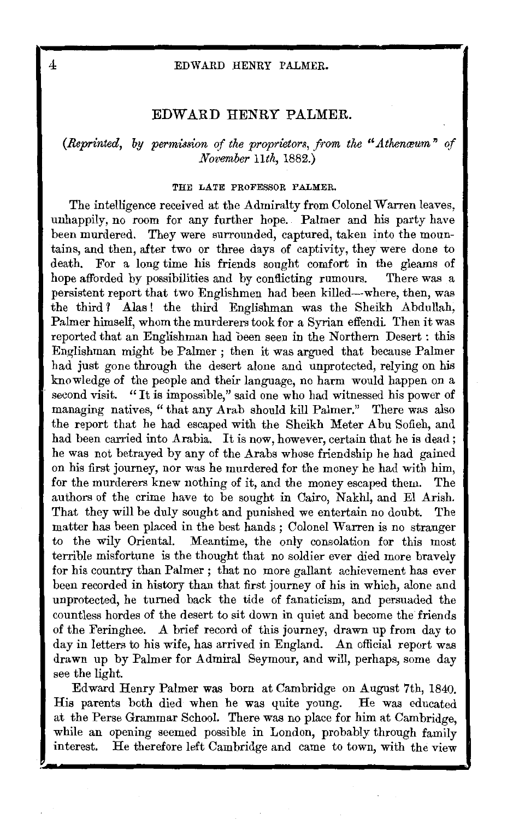# **EDWARD HENRY PALMER.**

*(Reprinted, by permission of the proprietors, from the "Athenœum" of November lith,* 1882.)

#### THE LATE PROFESSOR PALMER.

The intelligence received at the Admiralty from Colonel Warren leaves, unhappily, no room for any further hope. Palmer and his party have been murdered. They were surrounded, captured, taken into the mountains, and then, after two or three days of captivity, they were done to death. For a long time his friends sought comfort in the gleams of hope afforded by possibilities and by conflicting rumours. There was a persistent report that two Englishmen had been killed-where, then, was the third ? Alas ! the third Englishman was the Sheikh Abdullah, Palmer himself, whom the murderers took for a Syrian effendi. Then it was reported that an Englishman had oeen seen in the Northern Desert : this Englishman might be Palmer ; then it was argued that because Palmer had just gone through the desert alone and unprotected, relying on his knowledge of the people and their language, no harm would happen on a second visit. "It is impossible," said one who had witnessed his power of managing natives, " that any Arab should kill Palmer." There was also the report that he had escaped with the Sheikh Meter Abu Sofieh, and had been carried into Arabia. It is now, however, certain that he is dead; he was not betrayed by any of the Arabs whose friendship he had gained on his first journey, nor was he murdered for the money he had with him, for the murderers knew nothing of it, and the money escaped them. The authors of the crime have to be sought in Cairo, Nakhl, and El Arish. That they will be duly sought and punished we entertain no doubt. The matter has been placed in the best hands ; Colonel Warren is no stranger to the wily Oriental. Meantime, the only consolation for this most terrible misfortune is the thought that no soldier ever died more bravely for his country than Palmer ; that no more gallant achievement has ever been recorded in history than that first journey of his in which, alone and unprotected, he turned back the tide of fanaticism, and persuaded the countless hordes of the desert to sit down in quiet and become the friends of the Feringhee. A brief record of this journey, drawn up from day to day in letters to his wife, has arrived in England. An official report was drawn up by Palmer for Admiral Seymour, and will, perhaps, some day see the light.

Edward Henry Palmer was born at Cambridge on August 7th, 1840. His parents both died when he was quite young. He was educated at the Perse Grammar School. There was no place for him at Cambridge, while an opening seemed possible in London, probably through family interest. He therefore left Cambridge and came to town, with the view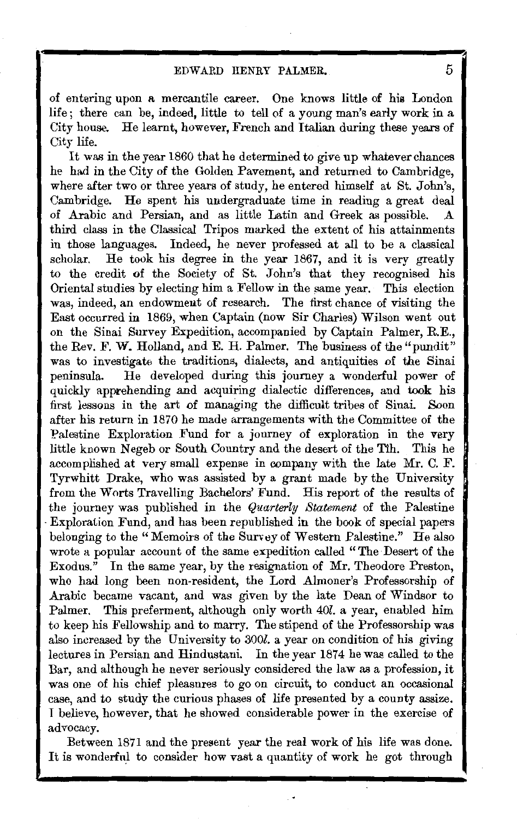of entering upon a mercantile career. One knows little of his London life ; there can be, indeed, little to tell of a young man's early work in a City house. He learnt, however, French and Italian during these years of City life.

It was in the year 1860 that he determined to give up whatever chances he had in the City of the Golden Pavement, and returned to Cambridge, where after two or three years of study, he entered himself at St. John's, Cambridge. He spent his undergraduate time in reading a great deal of Arabic and Persian, and as little Latin and Greek as possible. third class in the Classical Tripos marked the extent of his attainments in those languages. Indeed, he never professed at all to be a classical scholar. He took his degree in the year 1867, and it is very greatly to the credit of the Society of St. John's that they recognised his Oriental studies by electing him a Fellow in the same year. This election was, indeed, an endowment of research. The first chance of visiting the East occurred in 1869, when Captain (now Sir Charles) Wilson went out on the Sinai Survey Expedition, accompanied by Captain Palmer, R.E., the Rev. F. W. Holland, and E. H. Palmer. The business of the "pundit" was to investigate the traditions, dialects, and antiquities of the Sinai peninsula. He developed during this journey a wonderful power of quickly apprehending and acquiring dialectic differences, and took his first lessons in the art of managing the difficult tribes of Sinai. Soon after his return in 1870 he made arrangements with the Committee of the Palestine Exploration Fund for a journey of exploration in the very little known Negeb or South Country and the desert of the Tih. This he accomplished at very small expense in oompany with the late Mr. C. F. Tyrwhitt Drake, who was assisted by a grant made by the University from theW orts Travelling Bachelors' Fund. His report of the results of the journey was published in the *Quarterly Statement* of the Palestine -Exploration Fund, and has been republished in the book of special papers belonging to the "Memoirs of the Survey of Western Palestine." He also wrote a popular account of the same expedition called "The Desert of the Exodus." In the same year, by the resignation of Mr. Theodore Preston, who had long been non-resident, the Lord Almoner's Professorship of Arabic became vacant, and was given by the late Dean of Windsor to Palmer. This preferment, although only worth *40l.* a year, enabled him to keep his Fellowship and to marry. The stipend of the Professorship was also increased by the University to *3001.* a year on condition of his giving lectures in Persian and Hindustani. In the year 1874 he was called to the Bar, and although he never seriously considered the law as a profession, it was one of his chief pleasures to go on circuit, to conduct an occasional case, and to study the curious phases of life presented by a county assize. T believe, however, that he showed considerable power in the exercise of advocacy.

Between 1871 and the present year the real work of his life was done. It is wonderful to consider how vast a quantity of work he got through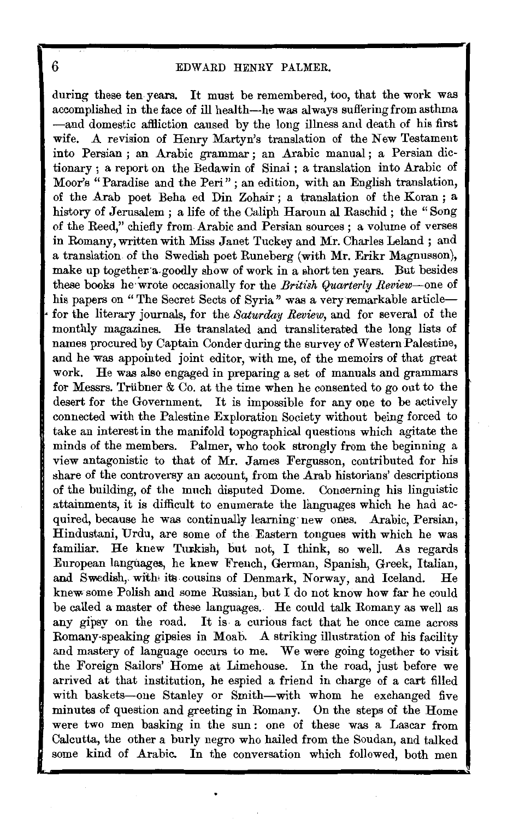during these ten years. It must be remembered, too, that the work was accomplished in the face of ill health-he was always sufl'ering from asthma -and domestic affliction caused by the long illness and death of his first wife. *A* revision of Henry Martyn's translation of the New Testament into Persian ; an Arabic grammar ; an Arabic manual ; a Persian dictionary ; a report on the Bedawin of Sinai ; a translation into Arabic of Moor's "Paradise and the Peri" ; an edition, with an English translation, of the Arab poet Beha ed Din Zohair ; a translation of the Koran ; a history of Jerusalem ; a life of the Caliph Haroun al Raschid ; the "Song of the Reed," chiefly from. Arabic and Persian sources ; a volume of verses in Romany, written with Miss Janet Tuckey and Mr. Charles Leland ; and a translation of the Swedish poet Runeberg (with Mr. Erikr Magnusson), make up together a goodly show of work in a short ten years. But besides these books he wrote occasionally for the *British Quarterly Review*-one of his papers on "The Secret Sects of Syria" was a very remarkable articlefor the literary journals, for the *Saturday Review*, and for several of the monthly magazines. He translated and transliterated the long lists of names procured by Captain Conder during the survey of Western Palestine, and he was appointed joint editor, with me, of the memoirs of that great work. He was also engaged in preparing a set of manuals and grammars for Messrs. Triibner & Co. at the time when he consented to go out to the desert for the Government. It is impossible for any one to be actively connected with the Palestine Exploration Society without being forced to take an interest in the manifold topographical questions which agitate the minds of the members. Palmer, who took strongly from the beginning a view antagonistic to that of Mr. James Fergusson, contributed for his share of the controversy an account, from the Arab historians' descriptions of the building, of the much disputed Dome. Concerning his linguistic attainments, it is difficult to enumerate the languages which he had acquired, because he was continually learning· new ones. Arabic, Persian, Hindustani, Urdu, are some of the Eastern tongues with which he was familiar. He knew Turkish, but not, I think, so well. As regards European langitages, he knew French, German, Spanish, Greek, Italian, and Swedish, with its cousins of Denmark, Norway, and Iceland. He knew some Polish and some Russian, but I do not know how far he could be called a master of these languages.. He could talk Romany as well as any gipsy on the road. It is a curious fact that he once came across Rornany-speaking gipsies in Moab. *A* striking illustration of his facility and mastery of language occurs to me. We were going together to visit the Foreign Sailors' Horne at Limehouse. In the road, just before we arrived at that institution, he espied a friend in charge of a cart filled with baskets-one Stanley or Smith-with whom he exchanged five minutes of question and greeting in Romany. On the steps of the Home were two men basking in the sun : one of these was a Lascar from Calcutta, the other a burly negro who hailed from the Soudan, and talked some kind of Arabic. In the conversation which followed, both men